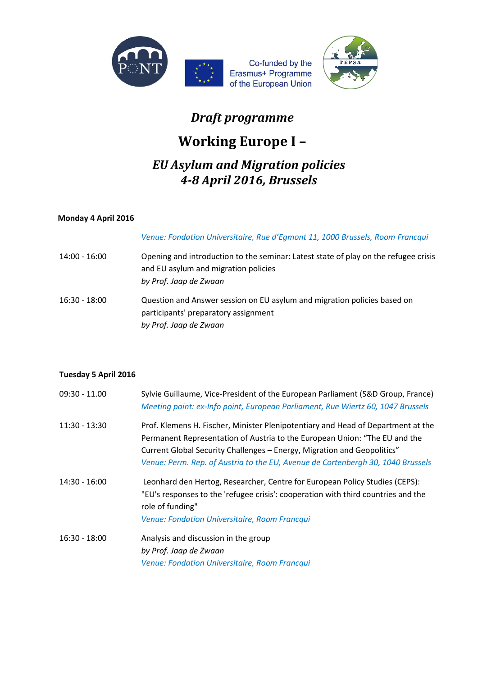

## *Draft programme*

# **Working Europe I –**

### *EU Asylum and Migration policies 4-8 April 2016, Brussels*

#### **Monday 4 April 2016**

*Venue: Fondation Universitaire, Rue d'Egmont 11, 1000 Brussels, Room Francqui*

14:00 - 16:00 Opening and introduction to the seminar: Latest state of play on the refugee crisis and EU asylum and migration policies *by Prof. Jaap de Zwaan*  16:30 - 18:00 Question and Answer session on EU asylum and migration policies based on participants' preparatory assignment *by Prof. Jaap de Zwaan*

#### **Tuesday 5 April 2016**

| $09:30 - 11.00$ | Sylvie Guillaume, Vice-President of the European Parliament (S&D Group, France)<br>Meeting point: ex-Info point, European Parliament, Rue Wiertz 60, 1047 Brussels                                                                                                                                                           |
|-----------------|------------------------------------------------------------------------------------------------------------------------------------------------------------------------------------------------------------------------------------------------------------------------------------------------------------------------------|
| $11:30 - 13:30$ | Prof. Klemens H. Fischer, Minister Plenipotentiary and Head of Department at the<br>Permanent Representation of Austria to the European Union: "The EU and the<br>Current Global Security Challenges - Energy, Migration and Geopolitics"<br>Venue: Perm. Rep. of Austria to the EU, Avenue de Cortenbergh 30, 1040 Brussels |
| $14:30 - 16:00$ | Leonhard den Hertog, Researcher, Centre for European Policy Studies (CEPS):<br>"EU's responses to the 'refugee crisis': cooperation with third countries and the<br>role of funding"<br>Venue: Fondation Universitaire, Room Francqui                                                                                        |
| $16:30 - 18:00$ | Analysis and discussion in the group<br>by Prof. Jaap de Zwaan<br>Venue: Fondation Universitaire, Room Francqui                                                                                                                                                                                                              |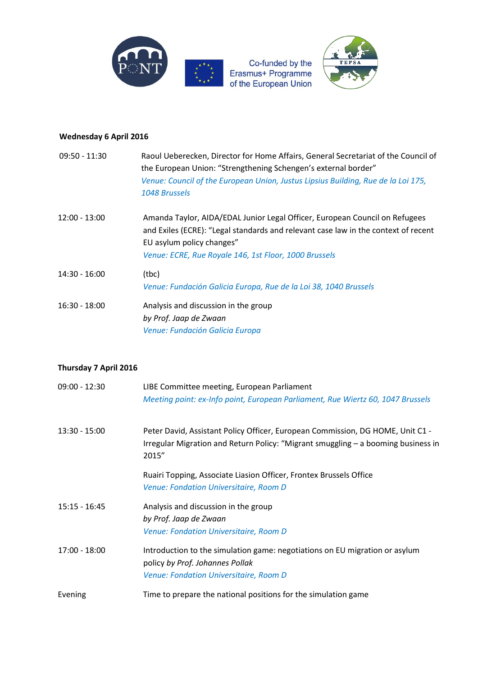

#### **Wednesday 6 April 2016**

| $09:50 - 11:30$       | Raoul Ueberecken, Director for Home Affairs, General Secretariat of the Council of<br>the European Union: "Strengthening Schengen's external border"<br>Venue: Council of the European Union, Justus Lipsius Building, Rue de la Loi 175,<br>1048 Brussels |
|-----------------------|------------------------------------------------------------------------------------------------------------------------------------------------------------------------------------------------------------------------------------------------------------|
| $12:00 - 13:00$       | Amanda Taylor, AIDA/EDAL Junior Legal Officer, European Council on Refugees<br>and Exiles (ECRE): "Legal standards and relevant case law in the context of recent<br>EU asylum policy changes"<br>Venue: ECRE, Rue Royale 146, 1st Floor, 1000 Brussels    |
| $14:30 - 16:00$       | (tbc)<br>Venue: Fundación Galicia Europa, Rue de la Loi 38, 1040 Brussels                                                                                                                                                                                  |
| $16:30 - 18:00$       | Analysis and discussion in the group<br>by Prof. Jaap de Zwaan<br>Venue: Fundación Galicia Europa                                                                                                                                                          |
| Thursday 7 April 2016 |                                                                                                                                                                                                                                                            |
| $09:00 - 12:30$       | LIBE Committee meeting, European Parliament<br>Meeting point: ex-Info point, European Parliament, Rue Wiertz 60, 1047 Brussels                                                                                                                             |
| $13:30 - 15:00$       | Peter David, Assistant Policy Officer, European Commission, DG HOME, Unit C1 -<br>Irregular Migration and Return Policy: "Migrant smuggling - a booming business in<br>2015"                                                                               |
|                       | Ruairi Topping, Associate Liasion Officer, Frontex Brussels Office<br>Venue: Fondation Universitaire, Room D                                                                                                                                               |
| $15:15 - 16:45$       | Analysis and discussion in the group<br>by Prof. Jaap de Zwaan<br>Venue: Fondation Universitaire, Room D                                                                                                                                                   |
| $17:00 - 18:00$       | Introduction to the simulation game: negotiations on EU migration or asylum<br>policy by Prof. Johannes Pollak                                                                                                                                             |

Evening Time to prepare the national positions for the simulation game

*Venue: Fondation Universitaire, Room D*